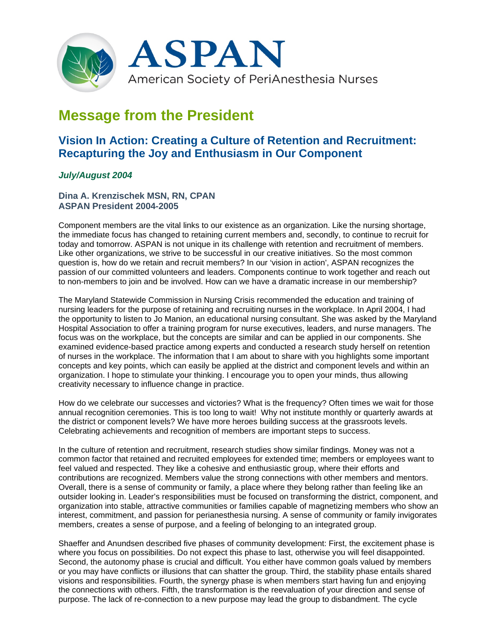

## **Message from the President**

## **Vision In Action: Creating a Culture of Retention and Recruitment: Recapturing the Joy and Enthusiasm in Our Component**

## *July/August 2004*

**Dina A. Krenzischek MSN, RN, CPAN ASPAN President 2004-2005**

Component members are the vital links to our existence as an organization. Like the nursing shortage, the immediate focus has changed to retaining current members and, secondly, to continue to recruit for today and tomorrow. ASPAN is not unique in its challenge with retention and recruitment of members. Like other organizations, we strive to be successful in our creative initiatives. So the most common question is, how do we retain and recruit members? In our 'vision in action', ASPAN recognizes the passion of our committed volunteers and leaders. Components continue to work together and reach out to non-members to join and be involved. How can we have a dramatic increase in our membership?

The Maryland Statewide Commission in Nursing Crisis recommended the education and training of nursing leaders for the purpose of retaining and recruiting nurses in the workplace. In April 2004, I had the opportunity to listen to Jo Manion, an educational nursing consultant. She was asked by the Maryland Hospital Association to offer a training program for nurse executives, leaders, and nurse managers. The focus was on the workplace, but the concepts are similar and can be applied in our components. She examined evidence-based practice among experts and conducted a research study herself on retention of nurses in the workplace. The information that I am about to share with you highlights some important concepts and key points, which can easily be applied at the district and component levels and within an organization. I hope to stimulate your thinking. I encourage you to open your minds, thus allowing creativity necessary to influence change in practice.

How do we celebrate our successes and victories? What is the frequency? Often times we wait for those annual recognition ceremonies. This is too long to wait! Why not institute monthly or quarterly awards at the district or component levels? We have more heroes building success at the grassroots levels. Celebrating achievements and recognition of members are important steps to success.

In the culture of retention and recruitment, research studies show similar findings. Money was not a common factor that retained and recruited employees for extended time; members or employees want to feel valued and respected. They like a cohesive and enthusiastic group, where their efforts and contributions are recognized. Members value the strong connections with other members and mentors. Overall, there is a sense of community or family, a place where they belong rather than feeling like an outsider looking in. Leader's responsibilities must be focused on transforming the district, component, and organization into stable, attractive communities or families capable of magnetizing members who show an interest, commitment, and passion for perianesthesia nursing. A sense of community or family invigorates members, creates a sense of purpose, and a feeling of belonging to an integrated group.

Shaeffer and Anundsen described five phases of community development: First, the excitement phase is where you focus on possibilities. Do not expect this phase to last, otherwise you will feel disappointed. Second, the autonomy phase is crucial and difficult. You either have common goals valued by members or you may have conflicts or illusions that can shatter the group. Third, the stability phase entails shared visions and responsibilities. Fourth, the synergy phase is when members start having fun and enjoying the connections with others. Fifth, the transformation is the reevaluation of your direction and sense of purpose. The lack of re-connection to a new purpose may lead the group to disbandment. The cycle